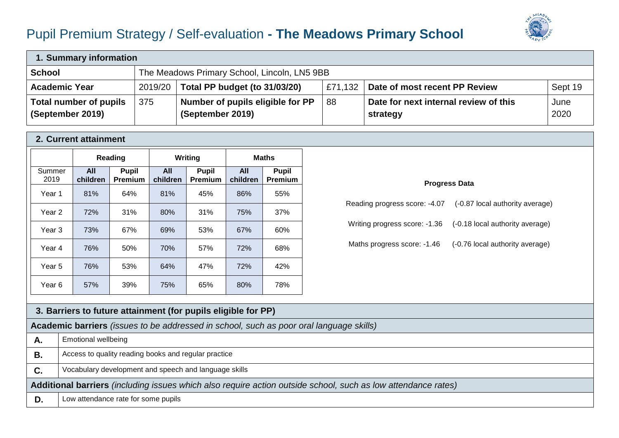## Pupil Premium Strategy / Self-evaluation **- The Meadows Primary School**



| 1. Summary information                     |                                              |                                                      |         |                                                   |              |  |  |
|--------------------------------------------|----------------------------------------------|------------------------------------------------------|---------|---------------------------------------------------|--------------|--|--|
| <b>School</b>                              | The Meadows Primary School, Lincoln, LN5 9BB |                                                      |         |                                                   |              |  |  |
| <b>Academic Year</b>                       | 2019/20                                      | Total PP budget (to 31/03/20)                        | £71,132 | Date of most recent PP Review                     | Sept 19      |  |  |
| Total number of pupils<br>(September 2019) | 375                                          | Number of pupils eligible for PP<br>(September 2019) | 88      | Date for next internal review of this<br>strategy | June<br>2020 |  |  |

## **2. Current attainment**

|                |                 | Reading                        |                 | Writing                 | <b>Maths</b>    |                                |
|----------------|-----------------|--------------------------------|-----------------|-------------------------|-----------------|--------------------------------|
| Summer<br>2019 | All<br>children | <b>Pupil</b><br><b>Premium</b> | All<br>children | <b>Pupil</b><br>Premium | All<br>children | <b>Pupil</b><br><b>Premium</b> |
| Year 1         | 81%             | 64%                            | 81%             | 45%                     | 86%             | 55%                            |
| Year 2         | 72%             | 31%                            | 80%             | 31%                     | 75%             | 37%                            |
| Year 3         | 73%             | 67%                            | 69%             | 53%                     | 67%             | 60%                            |
| Year 4         | 76%             | 50%                            | 70%             | 57%                     | 72%             | 68%                            |
| Year 5         | 76%             | 53%                            | 64%             | 47%                     | 72%             | 42%                            |
| Year 6         | 57%             | 39%                            | 75%             | 65%                     | 80%             | 78%                            |

## **Progress Data** Reading progress score: -4.07 (-0.87 local authority average) Writing progress score: -1.36 (-0.18 local authority average) Maths progress score: -1.46 (-0.76 local authority average)

|                                                                                                               | 3. Barriers to future attainment (for pupils eligible for PP)                           |  |  |  |  |
|---------------------------------------------------------------------------------------------------------------|-----------------------------------------------------------------------------------------|--|--|--|--|
|                                                                                                               | Academic barriers (issues to be addressed in school, such as poor oral language skills) |  |  |  |  |
| А.                                                                                                            | <b>Emotional wellbeing</b>                                                              |  |  |  |  |
| В.                                                                                                            | Access to quality reading books and regular practice                                    |  |  |  |  |
| C.                                                                                                            | Vocabulary development and speech and language skills                                   |  |  |  |  |
| Additional barriers (including issues which also require action outside school, such as low attendance rates) |                                                                                         |  |  |  |  |
| D.                                                                                                            | Low attendance rate for some pupils                                                     |  |  |  |  |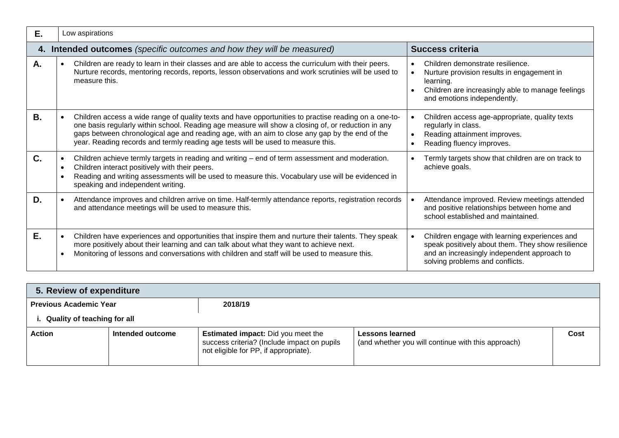| Е. | Low aspirations                                                                                                                                                                                                                                                                                                                                                                                   |                                                                                                                                                                                      |  |  |  |  |  |
|----|---------------------------------------------------------------------------------------------------------------------------------------------------------------------------------------------------------------------------------------------------------------------------------------------------------------------------------------------------------------------------------------------------|--------------------------------------------------------------------------------------------------------------------------------------------------------------------------------------|--|--|--|--|--|
|    | 4. Intended outcomes (specific outcomes and how they will be measured)<br><b>Success criteria</b>                                                                                                                                                                                                                                                                                                 |                                                                                                                                                                                      |  |  |  |  |  |
| Α. | Children are ready to learn in their classes and are able to access the curriculum with their peers.<br>Nurture records, mentoring records, reports, lesson observations and work scrutinies will be used to<br>measure this.                                                                                                                                                                     | Children demonstrate resilience.<br>Nurture provision results in engagement in<br>learning.<br>Children are increasingly able to manage feelings<br>and emotions independently.      |  |  |  |  |  |
| В. | Children access a wide range of quality texts and have opportunities to practise reading on a one-to-<br>one basis regularly within school. Reading age measure will show a closing of, or reduction in any<br>gaps between chronological age and reading age, with an aim to close any gap by the end of the<br>year. Reading records and termly reading age tests will be used to measure this. | Children access age-appropriate, quality texts<br>regularly in class.<br>Reading attainment improves.<br>Reading fluency improves.                                                   |  |  |  |  |  |
| C. | Children achieve termly targets in reading and writing – end of term assessment and moderation.<br>Children interact positively with their peers.<br>Reading and writing assessments will be used to measure this. Vocabulary use will be evidenced in<br>speaking and independent writing.                                                                                                       | Termly targets show that children are on track to<br>achieve goals.                                                                                                                  |  |  |  |  |  |
| D. | Attendance improves and children arrive on time. Half-termly attendance reports, registration records<br>and attendance meetings will be used to measure this.                                                                                                                                                                                                                                    | Attendance improved. Review meetings attended<br>and positive relationships between home and<br>school established and maintained.                                                   |  |  |  |  |  |
| Е. | Children have experiences and opportunities that inspire them and nurture their talents. They speak<br>more positively about their learning and can talk about what they want to achieve next.<br>Monitoring of lessons and conversations with children and staff will be used to measure this.                                                                                                   | Children engage with learning experiences and<br>speak positively about them. They show resilience<br>and an increasingly independent approach to<br>solving problems and conflicts. |  |  |  |  |  |

| 5. Review of expenditure           |                  |                                                                                                                                   |                                                                       |      |  |  |
|------------------------------------|------------------|-----------------------------------------------------------------------------------------------------------------------------------|-----------------------------------------------------------------------|------|--|--|
| <b>Previous Academic Year</b>      |                  | 2018/19                                                                                                                           |                                                                       |      |  |  |
| <b>Quality of teaching for all</b> |                  |                                                                                                                                   |                                                                       |      |  |  |
| <b>Action</b>                      | Intended outcome | <b>Estimated impact:</b> Did you meet the<br>success criteria? (Include impact on pupils<br>not eligible for PP, if appropriate). | Lessons learned<br>(and whether you will continue with this approach) | Cost |  |  |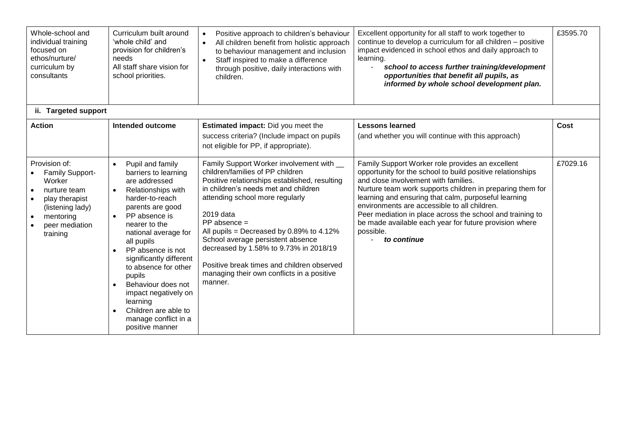| Whole-school and<br>individual training<br>focused on<br>ethos/nurture/<br>curriculum by<br>consultants                                                               | Curriculum built around<br>'whole child' and<br>provision for children's<br>needs<br>All staff share vision for<br>school priorities.                                                                                                                                                                                                                                                                                                                | Positive approach to children's behaviour<br>All children benefit from holistic approach<br>to behaviour management and inclusion<br>Staff inspired to make a difference<br>$\bullet$<br>through positive, daily interactions with<br>children.                                                                                                                                                                                                                            | Excellent opportunity for all staff to work together to<br>continue to develop a curriculum for all children - positive<br>impact evidenced in school ethos and daily approach to<br>learning.<br>school to access further training/development<br>opportunities that benefit all pupils, as<br>informed by whole school development plan.                                                                                                                                     | £3595.70    |
|-----------------------------------------------------------------------------------------------------------------------------------------------------------------------|------------------------------------------------------------------------------------------------------------------------------------------------------------------------------------------------------------------------------------------------------------------------------------------------------------------------------------------------------------------------------------------------------------------------------------------------------|----------------------------------------------------------------------------------------------------------------------------------------------------------------------------------------------------------------------------------------------------------------------------------------------------------------------------------------------------------------------------------------------------------------------------------------------------------------------------|--------------------------------------------------------------------------------------------------------------------------------------------------------------------------------------------------------------------------------------------------------------------------------------------------------------------------------------------------------------------------------------------------------------------------------------------------------------------------------|-------------|
| ii. Targeted support                                                                                                                                                  |                                                                                                                                                                                                                                                                                                                                                                                                                                                      |                                                                                                                                                                                                                                                                                                                                                                                                                                                                            |                                                                                                                                                                                                                                                                                                                                                                                                                                                                                |             |
| <b>Action</b>                                                                                                                                                         | <b>Intended outcome</b>                                                                                                                                                                                                                                                                                                                                                                                                                              | <b>Estimated impact:</b> Did you meet the<br>success criteria? (Include impact on pupils<br>not eligible for PP, if appropriate).                                                                                                                                                                                                                                                                                                                                          | <b>Lessons learned</b><br>(and whether you will continue with this approach)                                                                                                                                                                                                                                                                                                                                                                                                   | <b>Cost</b> |
| Provision of:<br>Family Support-<br>Worker<br>nurture team<br>play therapist<br>$\bullet$<br>(listening lady)<br>mentoring<br>$\bullet$<br>peer mediation<br>training | Pupil and family<br>$\bullet$<br>barriers to learning<br>are addressed<br>Relationships with<br>harder-to-reach<br>parents are good<br>PP absence is<br>nearer to the<br>national average for<br>all pupils<br>PP absence is not<br>$\bullet$<br>significantly different<br>to absence for other<br>pupils<br>Behaviour does not<br>$\bullet$<br>impact negatively on<br>learning<br>Children are able to<br>manage conflict in a<br>positive manner | Family Support Worker involvement with __<br>children/families of PP children<br>Positive relationships established, resulting<br>in children's needs met and children<br>attending school more regularly<br>2019 data<br>$PP$ absence =<br>All pupils = Decreased by 0.89% to 4.12%<br>School average persistent absence<br>decreased by 1.58% to 9.73% in 2018/19<br>Positive break times and children observed<br>managing their own conflicts in a positive<br>manner. | Family Support Worker role provides an excellent<br>opportunity for the school to build positive relationships<br>and close involvement with families.<br>Nurture team work supports children in preparing them for<br>learning and ensuring that calm, purposeful learning<br>environments are accessible to all children.<br>Peer mediation in place across the school and training to<br>be made available each year for future provision where<br>possible.<br>to continue | £7029.16    |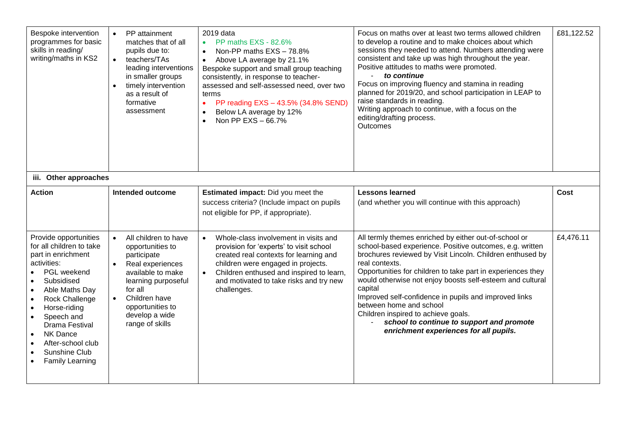| Bespoke intervention<br>programmes for basic<br>skills in reading/<br>writing/maths in KS2                                                                                                                                                                                                                                                                                                         | PP attainment<br>matches that of all<br>pupils due to:<br>teachers/TAs<br>$\bullet$<br>leading interventions<br>in smaller groups<br>timely intervention<br>as a result of<br>formative<br>assessment                                  | 2019 data<br>PP maths EXS - 82.6%<br>$\bullet$<br>Non-PP maths EXS - 78.8%<br>$\bullet$<br>Above LA average by 21.1%<br>$\bullet$<br>Bespoke support and small group teaching<br>consistently, in response to teacher-<br>assessed and self-assessed need, over two<br>terms<br>PP reading EXS - 43.5% (34.8% SEND)<br>$\bullet$<br>Below LA average by 12%<br>Non PP EXS - 66.7%<br>$\bullet$ | Focus on maths over at least two terms allowed children<br>to develop a routine and to make choices about which<br>sessions they needed to attend. Numbers attending were<br>consistent and take up was high throughout the year.<br>Positive attitudes to maths were promoted.<br>to continue<br>Focus on improving fluency and stamina in reading<br>planned for 2019/20, and school participation in LEAP to<br>raise standards in reading.<br>Writing approach to continue, with a focus on the<br>editing/drafting process.<br><b>Outcomes</b>       | £81,122.52  |
|----------------------------------------------------------------------------------------------------------------------------------------------------------------------------------------------------------------------------------------------------------------------------------------------------------------------------------------------------------------------------------------------------|----------------------------------------------------------------------------------------------------------------------------------------------------------------------------------------------------------------------------------------|------------------------------------------------------------------------------------------------------------------------------------------------------------------------------------------------------------------------------------------------------------------------------------------------------------------------------------------------------------------------------------------------|-----------------------------------------------------------------------------------------------------------------------------------------------------------------------------------------------------------------------------------------------------------------------------------------------------------------------------------------------------------------------------------------------------------------------------------------------------------------------------------------------------------------------------------------------------------|-------------|
| iii. Other approaches                                                                                                                                                                                                                                                                                                                                                                              |                                                                                                                                                                                                                                        |                                                                                                                                                                                                                                                                                                                                                                                                |                                                                                                                                                                                                                                                                                                                                                                                                                                                                                                                                                           |             |
| <b>Action</b>                                                                                                                                                                                                                                                                                                                                                                                      | <b>Intended outcome</b>                                                                                                                                                                                                                | Estimated impact: Did you meet the<br>success criteria? (Include impact on pupils<br>not eligible for PP, if appropriate).                                                                                                                                                                                                                                                                     | <b>Lessons learned</b><br>(and whether you will continue with this approach)                                                                                                                                                                                                                                                                                                                                                                                                                                                                              | <b>Cost</b> |
| Provide opportunities<br>for all children to take<br>part in enrichment<br>activities:<br>PGL weekend<br>Subsidised<br>$\bullet$<br>Able Maths Day<br>$\bullet$<br><b>Rock Challenge</b><br>$\bullet$<br>Horse-riding<br>$\bullet$<br>Speech and<br>$\bullet$<br>Drama Festival<br>NK Dance<br>$\bullet$<br>After-school club<br>$\bullet$<br>Sunshine Club<br>$\bullet$<br><b>Family Learning</b> | All children to have<br>$\bullet$<br>opportunities to<br>participate<br>Real experiences<br>available to make<br>learning purposeful<br>for all<br>Children have<br>$\bullet$<br>opportunities to<br>develop a wide<br>range of skills | Whole-class involvement in visits and<br>$\bullet$<br>provision for 'experts' to visit school<br>created real contexts for learning and<br>children were engaged in projects.<br>Children enthused and inspired to learn,<br>$\bullet$<br>and motivated to take risks and try new<br>challenges.                                                                                               | All termly themes enriched by either out-of-school or<br>school-based experience. Positive outcomes, e.g. written<br>brochures reviewed by Visit Lincoln. Children enthused by<br>real contexts.<br>Opportunities for children to take part in experiences they<br>would otherwise not enjoy boosts self-esteem and cultural<br>capital<br>Improved self-confidence in pupils and improved links<br>between home and school<br>Children inspired to achieve goals.<br>school to continue to support and promote<br>enrichment experiences for all pupils. | £4,476.11   |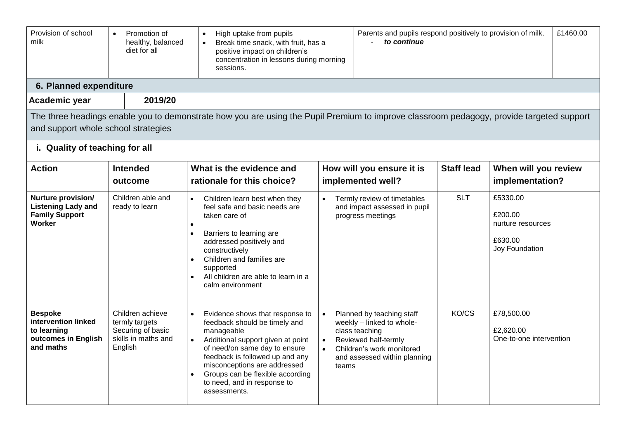| Provision of school<br>milk                                                               | Promotion of<br>$\bullet$<br>healthy, balanced<br>diet for all                            | High uptake from pupils<br>$\bullet$<br>Break time snack, with fruit, has a<br>$\bullet$<br>positive impact on children's<br>concentration in lessons during morning<br>sessions.                                                                                                                                                    | to continue                                                                                                                                                                         | Parents and pupils respond positively to provision of milk. |                                                                       | £1460.00 |
|-------------------------------------------------------------------------------------------|-------------------------------------------------------------------------------------------|--------------------------------------------------------------------------------------------------------------------------------------------------------------------------------------------------------------------------------------------------------------------------------------------------------------------------------------|-------------------------------------------------------------------------------------------------------------------------------------------------------------------------------------|-------------------------------------------------------------|-----------------------------------------------------------------------|----------|
| 6. Planned expenditure                                                                    |                                                                                           |                                                                                                                                                                                                                                                                                                                                      |                                                                                                                                                                                     |                                                             |                                                                       |          |
| Academic year                                                                             | 2019/20                                                                                   |                                                                                                                                                                                                                                                                                                                                      |                                                                                                                                                                                     |                                                             |                                                                       |          |
| and support whole school strategies                                                       |                                                                                           | The three headings enable you to demonstrate how you are using the Pupil Premium to improve classroom pedagogy, provide targeted support                                                                                                                                                                                             |                                                                                                                                                                                     |                                                             |                                                                       |          |
| i. Quality of teaching for all                                                            |                                                                                           |                                                                                                                                                                                                                                                                                                                                      |                                                                                                                                                                                     |                                                             |                                                                       |          |
| <b>Action</b>                                                                             | <b>Intended</b><br>outcome                                                                | What is the evidence and<br>rationale for this choice?                                                                                                                                                                                                                                                                               | How will you ensure it is<br>implemented well?                                                                                                                                      | <b>Staff lead</b>                                           | When will you review<br>implementation?                               |          |
| <b>Nurture provision/</b><br><b>Listening Lady and</b><br><b>Family Support</b><br>Worker | Children able and<br>ready to learn                                                       | Children learn best when they<br>$\bullet$<br>feel safe and basic needs are<br>taken care of<br>$\bullet$<br>Barriers to learning are<br>addressed positively and<br>constructively<br>Children and families are<br>$\bullet$<br>supported<br>All children are able to learn in a<br>$\bullet$<br>calm environment                   | Termly review of timetables<br>$\bullet$<br>and impact assessed in pupil<br>progress meetings                                                                                       | <b>SLT</b>                                                  | £5330.00<br>£200.00<br>nurture resources<br>£630.00<br>Joy Foundation |          |
| <b>Bespoke</b><br>intervention linked<br>to learning<br>outcomes in English<br>and maths  | Children achieve<br>termly targets<br>Securing of basic<br>skills in maths and<br>English | Evidence shows that response to<br>$\bullet$<br>feedback should be timely and<br>manageable<br>Additional support given at point<br>$\bullet$<br>of need/on same day to ensure<br>feedback is followed up and any<br>misconceptions are addressed<br>Groups can be flexible according<br>to need, and in response to<br>assessments. | Planned by teaching staff<br>$\bullet$<br>weekly - linked to whole-<br>class teaching<br>Reviewed half-termly<br>Children's work monitored<br>and assessed within planning<br>teams | KO/CS                                                       | £78,500.00<br>£2,620.00<br>One-to-one intervention                    |          |